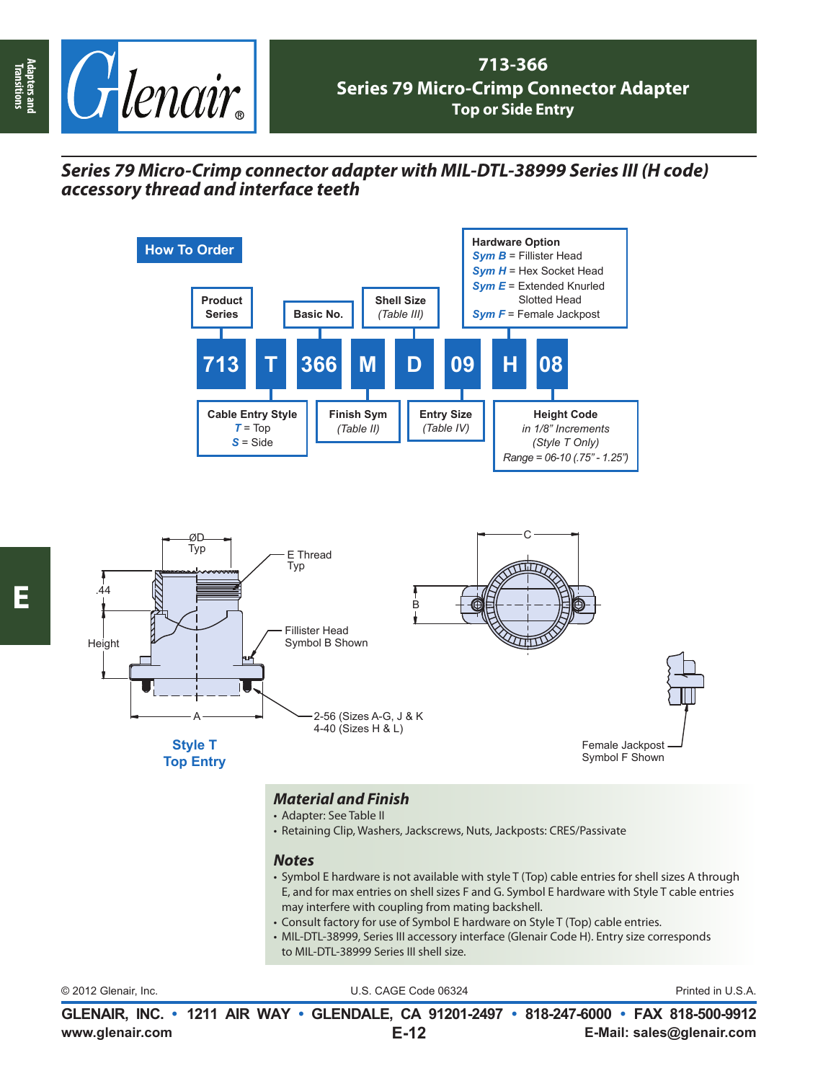

## *Series 79 Micro-Crimp connector adapter with MIL-DTL-38999 Series III (H code) accessory thread and interface teeth*



- Adapter: See Table II
- Retaining Clip, Washers, Jackscrews, Nuts, Jackposts: CRES/Passivate

## *Notes*

- Symbol E hardware is not available with style T (Top) cable entries for shell sizes A through E, and for max entries on shell sizes F and G. Symbol E hardware with Style T cable entries may interfere with coupling from mating backshell.
- Consult factory for use of Symbol E hardware on Style T (Top) cable entries.
- MIL-DTL-38999, Series III accessory interface (Glenair Code H). Entry size corresponds to MIL-DTL-38999 Series III shell size.

|  | © 2012 Glenair, Inc. |  |
|--|----------------------|--|
|  |                      |  |

U.S. CAGE Code 06324 Printed in U.S.A.

**www.glenair.com E-Mail: sales@glenair.com GLENAIR, INC. • 1211 AIR WAY • GLENDALE, CA 91201-2497 • 818-247-6000 • FAX 818-500-9912 E-12**

**Adapters and Transitions**

Adapters and<br>Transitions